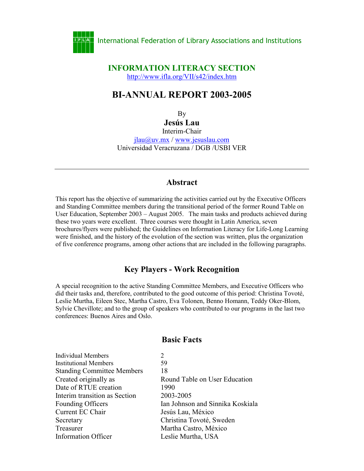

#### **INFORMATION LITERACY SECTION** <http://www.ifla.org/VII/s42/index.htm>

# **BI-ANNUAL REPORT 2003-2005**

By

**Jesús Lau**

Interim-Chair jlau@uv.mx / www.jesuslau.com Universidad Veracruzana / DGB /USBI VER

### **Abstract**

This report has the objective of summarizing the activities carried out by the Executive Officers and Standing Committee members during the transitional period of the former Round Table on User Education, September 2003 – August 2005. The main tasks and products achieved during these two years were excellent. Three courses were thought in Latin America, seven brochures/flyers were published; the Guidelines on Information Literacy for Life-Long Learning were finished, and the history of the evolution of the section was written, plus the organization of five conference programs, among other actions that are included in the following paragraphs.

## **Key Players - Work Recognition**

A special recognition to the active Standing Committee Members, and Executive Officers who did their tasks and, therefore, contributed to the good outcome of this period: Christina Tovoté, Leslie Murtha, Eileen Stec, Martha Castro, Eva Tolonen, Benno Homann, Teddy Oker-Blom, Sylvie Chevillote; and to the group of speakers who contributed to our programs in the last two conferences: Buenos Aires and Oslo.

### **Basic Facts**

| $\mathcal{D}_{\mathcal{L}}$      |
|----------------------------------|
| 59                               |
| 18                               |
| Round Table on User Education    |
| 1990                             |
| 2003-2005                        |
| Ian Johnson and Sinnika Koskiala |
| Jesús Lau, México                |
| Christina Tovoté, Sweden         |
| Martha Castro, México            |
| Leslie Murtha, USA               |
|                                  |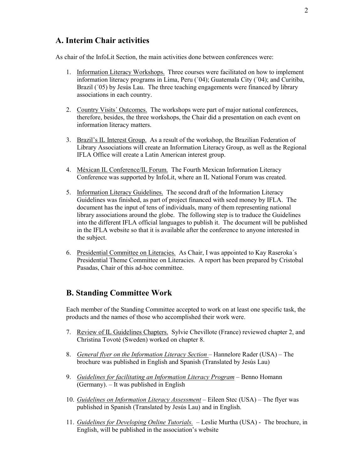# **A. Interim Chair activities**

As chair of the InfoLit Section, the main activities done between conferences were:

- 1. Information Literacy Workshops. Three courses were facilitated on how to implement information literacy programs in Lima, Peru (´04); Guatemala City (´04); and Curitiba, Brazil ( $\dot{0}$ 5) by Jesús Lau. The three teaching engagements were financed by library associations in each country.
- 2. Country Visits´ Outcomes. The workshops were part of major national conferences, therefore, besides, the three workshops, the Chair did a presentation on each event on information literacy matters.
- 3. Brazil's IL Interest Group. As a result of the workshop, the Brazilian Federation of Library Associations will create an Information Literacy Group, as well as the Regional IFLA Office will create a Latin American interest group.
- 4. Méxican IL Conference/IL Forum. The Fourth Mexican Information Literacy Conference was supported by InfoLit, where an IL National Forum was created.
- 5. Information Literacy Guidelines. The second draft of the Information Literacy Guidelines was finished, as part of project financed with seed money by IFLA. The document has the input of tens of individuals, many of them representing national library associations around the globe. The following step is to traduce the Guidelines into the different IFLA official languages to publish it. The document will be published in the IFLA website so that it is available after the conference to anyone interested in the subject.
- 6. Presidential Committee on Literacies. As Chair, I was appointed to Kay Raseroka´s Presidential Theme Committee on Literacies. A report has been prepared by Cristobal Pasadas, Chair of this ad-hoc committee.

#### **B. Standing Committee Work**

Each member of the Standing Committee accepted to work on at least one specific task, the products and the names of those who accomplished their work were.

- 7. Review of IL Guidelines Chapters. Sylvie Chevillote (France) reviewed chapter 2, and Christina Tovoté (Sweden) worked on chapter 8.
- 8. *General flyer on the Information Literacy Section* Hannelore Rader (USA) The brochure was published in English and Spanish (Translated by Jesús Lau)
- 9. *Guidelines for facilitating an Information Literacy Program* Benno Homann (Germany). – It was published in English
- 10. *Guidelines on Information Literacy Assessment* Eileen Stec (USA) The flyer was published in Spanish (Translated by Jesús Lau) and in English.
- 11. *Guidelines for Developing Online Tutorials.* Leslie Murtha (USA) The brochure, in English, will be published in the association's website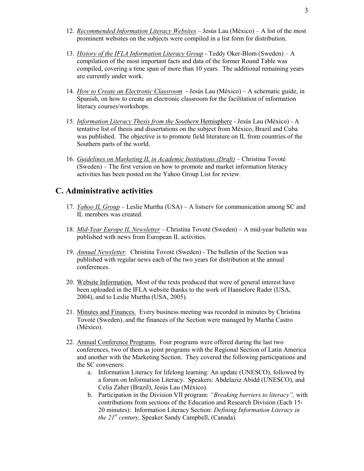- 12. *Recommended Information Literacy Websites* Jesús Lau (México) A list of the most prominent websites on the subjects were compiled in a list form for distribution.
- 13. *History of the IFLA Information Literacy Group* Teddy Oker-Blom (Sweden) A compilation of the most important facts and data of the former Round Table was compiled, covering a time span of more than 10 years. The additional remaining years are currently under work.
- 14. *How to Create an Electronic Classroom* Jesús Lau (México) A schematic guide, in Spanish, on how to create an electronic classroom for the facilitation of information literacy courses/workshops.
- 15. *Information Literacy Thesis from the Southern* Hemisphere Jesús Lau (México) A tentative list of thesis and dissertations on the subject from México, Brazil and Cuba was published. The objective is to promote field literature on IL from countries of the Southern parts of the world.
- 16. *Guidelines on Marketing IL in Academic Institutions (Draft)* Christina Tovoté (Sweden) – The first version on how to promote and market information literacy activities has been posted on the Yahoo Group List for review.

## **C. Administrative activities**

- 17. *Yahoo IL Group*  Leslie Murtha (USA) A listserv for communication among SC and IL members was created.
- 18. *Mid-Year Europe IL Newsletter*  Christina Tovoté (Sweden) A mid-year bulletin was published with news from European IL activities.
- 19. *Annual Newsletter.* Christina Tovoté (Sweden) The bulletin of the Section was published with regular news each of the two years for distribution at the annual conferences.
- 20. Website Information. Most of the texts produced that were of general interest have been uploaded in the IFLA website thanks to the work of Hannelore Rader (USA, 2004), and to Leslie Murtha (USA, 2005).
- 21. Minutes and Finances. Every business meeting was recorded in minutes by Christina Tovoté (Sweden), and the finances of the Section were managed by Martha Castro (México).
- 22. Annual Conference Programs. Four programs were offered during the last two conferences, two of them as joint programs with the Regional Section of Latin America and another with the Marketing Section. They covered the following participations and the SC conveners:
	- a. Information Literacy for lifelong learning: An update (UNESCO), followed by a forum on Information Literacy. Speakers: Abdelaziz Abidd (UNESCO), and Celia Zaher (Brazil), Jesús Lau (México).
	- b. Participation in the Division VII program: *"Breaking barriers to literacy",* with contributions from sections of the Education and Research Division (Each 15- 20 minutes): Information Literacy Section: *Defining Information Literacy in the 21st century,* Speaker Sandy Campbell, (Canada).